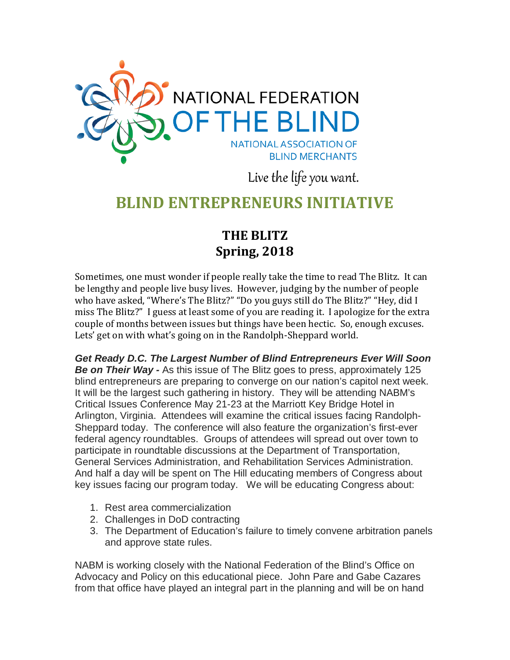

Live the life you want.

## **BLIND ENTREPRENEURS INITIATIVE**

## **THE BLITZ Spring, 2018**

Sometimes, one must wonder if people really take the time to read The Blitz. It can be lengthy and people live busy lives. However, judging by the number of people who have asked, "Where's The Blitz?" "Do you guys still do The Blitz?" "Hey, did I miss The Blitz?" I guess at least some of you are reading it. I apologize for the extra couple of months between issues but things have been hectic. So, enough excuses. Lets' get on with what's going on in the Randolph-Sheppard world.

*Get Ready D.C. The Largest Number of Blind Entrepreneurs Ever Will Soon Be on Their Way -* As this issue of The Blitz goes to press, approximately 125 blind entrepreneurs are preparing to converge on our nation's capitol next week. It will be the largest such gathering in history. They will be attending NABM's Critical Issues Conference May 21-23 at the Marriott Key Bridge Hotel in Arlington, Virginia. Attendees will examine the critical issues facing Randolph-Sheppard today. The conference will also feature the organization's first-ever federal agency roundtables. Groups of attendees will spread out over town to participate in roundtable discussions at the Department of Transportation, General Services Administration, and Rehabilitation Services Administration. And half a day will be spent on The Hill educating members of Congress about key issues facing our program today. We will be educating Congress about:

- 1. Rest area commercialization
- 2. Challenges in DoD contracting
- 3. The Department of Education's failure to timely convene arbitration panels and approve state rules.

NABM is working closely with the National Federation of the Blind's Office on Advocacy and Policy on this educational piece. John Pare and Gabe Cazares from that office have played an integral part in the planning and will be on hand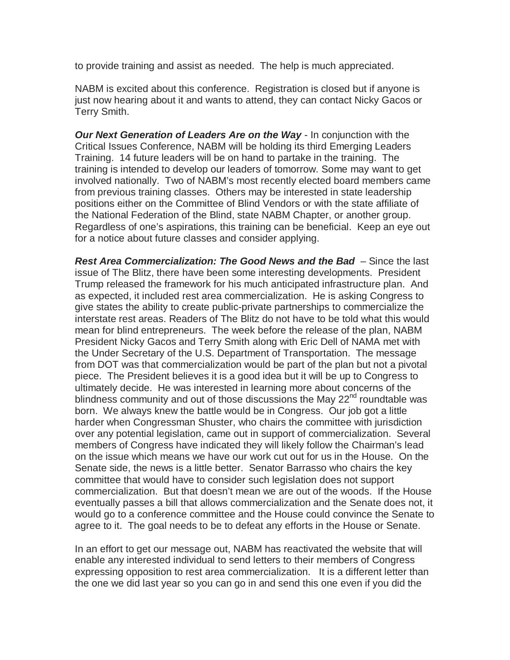to provide training and assist as needed. The help is much appreciated.

NABM is excited about this conference. Registration is closed but if anyone is just now hearing about it and wants to attend, they can contact Nicky Gacos or Terry Smith.

*Our Next Generation of Leaders Are on the Way* - In conjunction with the Critical Issues Conference, NABM will be holding its third Emerging Leaders Training. 14 future leaders will be on hand to partake in the training. The training is intended to develop our leaders of tomorrow. Some may want to get involved nationally. Two of NABM's most recently elected board members came from previous training classes. Others may be interested in state leadership positions either on the Committee of Blind Vendors or with the state affiliate of the National Federation of the Blind, state NABM Chapter, or another group. Regardless of one's aspirations, this training can be beneficial. Keep an eye out for a notice about future classes and consider applying.

*Rest Area Commercialization: The Good News and the Bad* – Since the last issue of The Blitz, there have been some interesting developments. President Trump released the framework for his much anticipated infrastructure plan. And as expected, it included rest area commercialization. He is asking Congress to give states the ability to create public-private partnerships to commercialize the interstate rest areas. Readers of The Blitz do not have to be told what this would mean for blind entrepreneurs. The week before the release of the plan, NABM President Nicky Gacos and Terry Smith along with Eric Dell of NAMA met with the Under Secretary of the U.S. Department of Transportation. The message from DOT was that commercialization would be part of the plan but not a pivotal piece. The President believes it is a good idea but it will be up to Congress to ultimately decide. He was interested in learning more about concerns of the blindness community and out of those discussions the May  $22^{nd}$  roundtable was born. We always knew the battle would be in Congress. Our job got a little harder when Congressman Shuster, who chairs the committee with jurisdiction over any potential legislation, came out in support of commercialization. Several members of Congress have indicated they will likely follow the Chairman's lead on the issue which means we have our work cut out for us in the House. On the Senate side, the news is a little better. Senator Barrasso who chairs the key committee that would have to consider such legislation does not support commercialization. But that doesn't mean we are out of the woods. If the House eventually passes a bill that allows commercialization and the Senate does not, it would go to a conference committee and the House could convince the Senate to agree to it. The goal needs to be to defeat any efforts in the House or Senate.

In an effort to get our message out, NABM has reactivated the website that will enable any interested individual to send letters to their members of Congress expressing opposition to rest area commercialization. It is a different letter than the one we did last year so you can go in and send this one even if you did the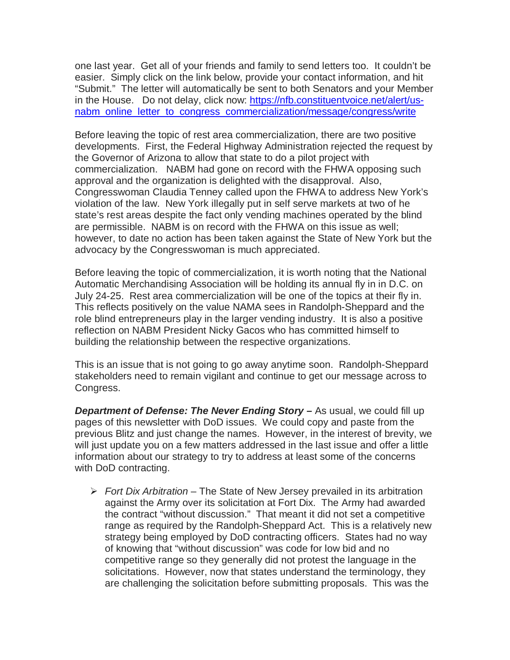one last year. Get all of your friends and family to send letters too. It couldn't be easier. Simply click on the link below, provide your contact information, and hit "Submit." The letter will automatically be sent to both Senators and your Member in the House. Do not delay, click now: [https://nfb.constituentvoice.net/alert/us](https://nfb.constituentvoice.net/alert/us-nabm_online_letter_to_congress_commercialization/message/congress/write)[nabm\\_online\\_letter\\_to\\_congress\\_commercialization/message/congress/write](https://nfb.constituentvoice.net/alert/us-nabm_online_letter_to_congress_commercialization/message/congress/write)

Before leaving the topic of rest area commercialization, there are two positive developments. First, the Federal Highway Administration rejected the request by the Governor of Arizona to allow that state to do a pilot project with commercialization. NABM had gone on record with the FHWA opposing such approval and the organization is delighted with the disapproval. Also, Congresswoman Claudia Tenney called upon the FHWA to address New York's violation of the law. New York illegally put in self serve markets at two of he state's rest areas despite the fact only vending machines operated by the blind are permissible. NABM is on record with the FHWA on this issue as well; however, to date no action has been taken against the State of New York but the advocacy by the Congresswoman is much appreciated.

Before leaving the topic of commercialization, it is worth noting that the National Automatic Merchandising Association will be holding its annual fly in in D.C. on July 24-25. Rest area commercialization will be one of the topics at their fly in. This reflects positively on the value NAMA sees in Randolph-Sheppard and the role blind entrepreneurs play in the larger vending industry. It is also a positive reflection on NABM President Nicky Gacos who has committed himself to building the relationship between the respective organizations.

This is an issue that is not going to go away anytime soon. Randolph-Sheppard stakeholders need to remain vigilant and continue to get our message across to Congress.

*Department of Defense: The Never Ending Story – As usual, we could fill up* pages of this newsletter with DoD issues. We could copy and paste from the previous Blitz and just change the names. However, in the interest of brevity, we will just update you on a few matters addressed in the last issue and offer a little information about our strategy to try to address at least some of the concerns with DoD contracting.

 *Fort Dix Arbitration* – The State of New Jersey prevailed in its arbitration against the Army over its solicitation at Fort Dix. The Army had awarded the contract "without discussion." That meant it did not set a competitive range as required by the Randolph-Sheppard Act. This is a relatively new strategy being employed by DoD contracting officers. States had no way of knowing that "without discussion" was code for low bid and no competitive range so they generally did not protest the language in the solicitations. However, now that states understand the terminology, they are challenging the solicitation before submitting proposals. This was the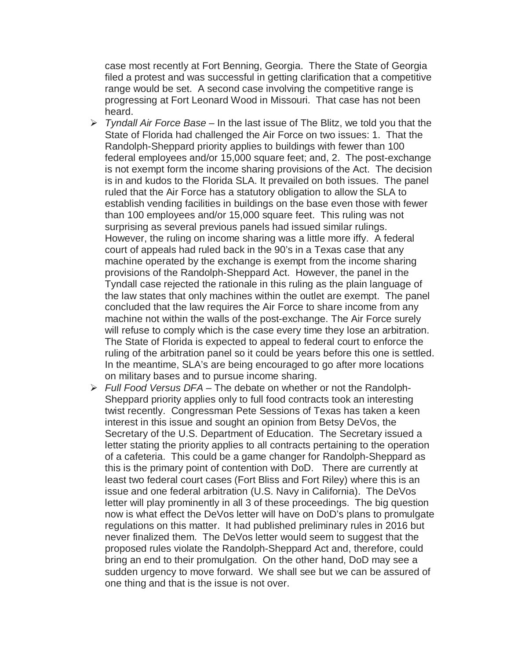case most recently at Fort Benning, Georgia. There the State of Georgia filed a protest and was successful in getting clarification that a competitive range would be set. A second case involving the competitive range is progressing at Fort Leonard Wood in Missouri. That case has not been heard.

- *Tyndall Air Force Base*  In the last issue of The Blitz, we told you that the State of Florida had challenged the Air Force on two issues: 1. That the Randolph-Sheppard priority applies to buildings with fewer than 100 federal employees and/or 15,000 square feet; and, 2. The post-exchange is not exempt form the income sharing provisions of the Act. The decision is in and kudos to the Florida SLA. It prevailed on both issues. The panel ruled that the Air Force has a statutory obligation to allow the SLA to establish vending facilities in buildings on the base even those with fewer than 100 employees and/or 15,000 square feet. This ruling was not surprising as several previous panels had issued similar rulings. However, the ruling on income sharing was a little more iffy. A federal court of appeals had ruled back in the 90's in a Texas case that any machine operated by the exchange is exempt from the income sharing provisions of the Randolph-Sheppard Act. However, the panel in the Tyndall case rejected the rationale in this ruling as the plain language of the law states that only machines within the outlet are exempt. The panel concluded that the law requires the Air Force to share income from any machine not within the walls of the post-exchange. The Air Force surely will refuse to comply which is the case every time they lose an arbitration. The State of Florida is expected to appeal to federal court to enforce the ruling of the arbitration panel so it could be years before this one is settled. In the meantime, SLA's are being encouraged to go after more locations on military bases and to pursue income sharing.
- *Full Food Versus DFA*  The debate on whether or not the Randolph-Sheppard priority applies only to full food contracts took an interesting twist recently. Congressman Pete Sessions of Texas has taken a keen interest in this issue and sought an opinion from Betsy DeVos, the Secretary of the U.S. Department of Education. The Secretary issued a letter stating the priority applies to all contracts pertaining to the operation of a cafeteria. This could be a game changer for Randolph-Sheppard as this is the primary point of contention with DoD. There are currently at least two federal court cases (Fort Bliss and Fort Riley) where this is an issue and one federal arbitration (U.S. Navy in California). The DeVos letter will play prominently in all 3 of these proceedings. The big question now is what effect the DeVos letter will have on DoD's plans to promulgate regulations on this matter. It had published preliminary rules in 2016 but never finalized them. The DeVos letter would seem to suggest that the proposed rules violate the Randolph-Sheppard Act and, therefore, could bring an end to their promulgation. On the other hand, DoD may see a sudden urgency to move forward. We shall see but we can be assured of one thing and that is the issue is not over.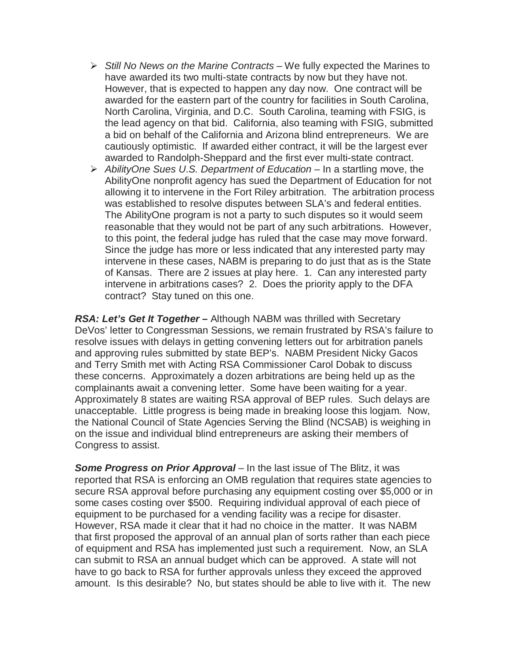- *Still No News on the Marine Contracts*  We fully expected the Marines to have awarded its two multi-state contracts by now but they have not. However, that is expected to happen any day now. One contract will be awarded for the eastern part of the country for facilities in South Carolina, North Carolina, Virginia, and D.C. South Carolina, teaming with FSIG, is the lead agency on that bid. California, also teaming with FSIG, submitted a bid on behalf of the California and Arizona blind entrepreneurs. We are cautiously optimistic. If awarded either contract, it will be the largest ever awarded to Randolph-Sheppard and the first ever multi-state contract.
- *AbilityOne Sues U*.*S. Department of Education* In a startling move, the AbilityOne nonprofit agency has sued the Department of Education for not allowing it to intervene in the Fort Riley arbitration. The arbitration process was established to resolve disputes between SLA's and federal entities. The AbilityOne program is not a party to such disputes so it would seem reasonable that they would not be part of any such arbitrations. However, to this point, the federal judge has ruled that the case may move forward. Since the judge has more or less indicated that any interested party may intervene in these cases, NABM is preparing to do just that as is the State of Kansas. There are 2 issues at play here. 1. Can any interested party intervene in arbitrations cases? 2. Does the priority apply to the DFA contract? Stay tuned on this one.

*RSA: Let's Get It Together –* Although NABM was thrilled with Secretary DeVos' letter to Congressman Sessions, we remain frustrated by RSA's failure to resolve issues with delays in getting convening letters out for arbitration panels and approving rules submitted by state BEP's. NABM President Nicky Gacos and Terry Smith met with Acting RSA Commissioner Carol Dobak to discuss these concerns. Approximately a dozen arbitrations are being held up as the complainants await a convening letter. Some have been waiting for a year. Approximately 8 states are waiting RSA approval of BEP rules. Such delays are unacceptable. Little progress is being made in breaking loose this logjam. Now, the National Council of State Agencies Serving the Blind (NCSAB) is weighing in on the issue and individual blind entrepreneurs are asking their members of Congress to assist.

**Some Progress on Prior Approval** – In the last issue of The Blitz, it was reported that RSA is enforcing an OMB regulation that requires state agencies to secure RSA approval before purchasing any equipment costing over \$5,000 or in some cases costing over \$500. Requiring individual approval of each piece of equipment to be purchased for a vending facility was a recipe for disaster. However, RSA made it clear that it had no choice in the matter. It was NABM that first proposed the approval of an annual plan of sorts rather than each piece of equipment and RSA has implemented just such a requirement. Now, an SLA can submit to RSA an annual budget which can be approved. A state will not have to go back to RSA for further approvals unless they exceed the approved amount. Is this desirable? No, but states should be able to live with it. The new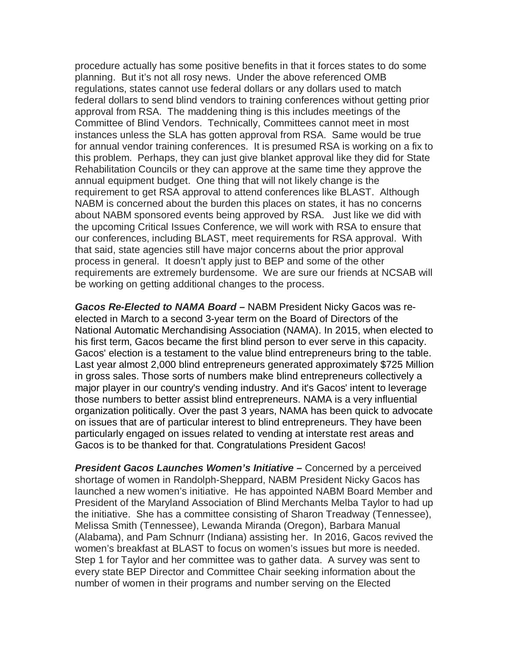procedure actually has some positive benefits in that it forces states to do some planning. But it's not all rosy news. Under the above referenced OMB regulations, states cannot use federal dollars or any dollars used to match federal dollars to send blind vendors to training conferences without getting prior approval from RSA. The maddening thing is this includes meetings of the Committee of Blind Vendors. Technically, Committees cannot meet in most instances unless the SLA has gotten approval from RSA. Same would be true for annual vendor training conferences. It is presumed RSA is working on a fix to this problem. Perhaps, they can just give blanket approval like they did for State Rehabilitation Councils or they can approve at the same time they approve the annual equipment budget. One thing that will not likely change is the requirement to get RSA approval to attend conferences like BLAST. Although NABM is concerned about the burden this places on states, it has no concerns about NABM sponsored events being approved by RSA. Just like we did with the upcoming Critical Issues Conference, we will work with RSA to ensure that our conferences, including BLAST, meet requirements for RSA approval. With that said, state agencies still have major concerns about the prior approval process in general. It doesn't apply just to BEP and some of the other requirements are extremely burdensome. We are sure our friends at NCSAB will be working on getting additional changes to the process.

*Gacos Re-Elected to NAMA Board –* NABM President Nicky Gacos was reelected in March to a second 3-year term on the Board of Directors of the National Automatic Merchandising Association (NAMA). In 2015, when elected to his first term, Gacos became the first blind person to ever serve in this capacity. Gacos' election is a testament to the value blind entrepreneurs bring to the table. Last year almost 2,000 blind entrepreneurs generated approximately \$725 Million in gross sales. Those sorts of numbers make blind entrepreneurs collectively a major player in our country's vending industry. And it's Gacos' intent to leverage those numbers to better assist blind entrepreneurs. NAMA is a very influential organization politically. Over the past 3 years, NAMA has been quick to advocate on issues that are of particular interest to blind entrepreneurs. They have been particularly engaged on issues related to vending at interstate rest areas and Gacos is to be thanked for that. Congratulations President Gacos!

*President Gacos Launches Women's Initiative –* Concerned by a perceived shortage of women in Randolph-Sheppard, NABM President Nicky Gacos has launched a new women's initiative. He has appointed NABM Board Member and President of the Maryland Association of Blind Merchants Melba Taylor to had up the initiative. She has a committee consisting of Sharon Treadway (Tennessee), Melissa Smith (Tennessee), Lewanda Miranda (Oregon), Barbara Manual (Alabama), and Pam Schnurr (Indiana) assisting her. In 2016, Gacos revived the women's breakfast at BLAST to focus on women's issues but more is needed. Step 1 for Taylor and her committee was to gather data. A survey was sent to every state BEP Director and Committee Chair seeking information about the number of women in their programs and number serving on the Elected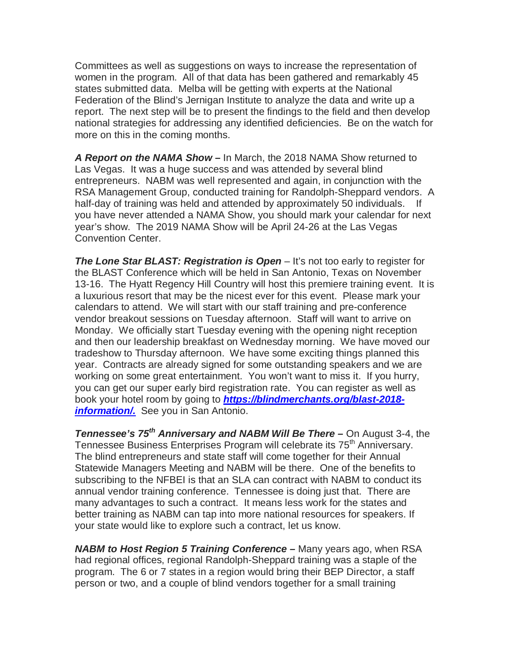Committees as well as suggestions on ways to increase the representation of women in the program. All of that data has been gathered and remarkably 45 states submitted data. Melba will be getting with experts at the National Federation of the Blind's Jernigan Institute to analyze the data and write up a report. The next step will be to present the findings to the field and then develop national strategies for addressing any identified deficiencies. Be on the watch for more on this in the coming months.

*A Report on the NAMA Show –* In March, the 2018 NAMA Show returned to Las Vegas. It was a huge success and was attended by several blind entrepreneurs. NABM was well represented and again, in conjunction with the RSA Management Group, conducted training for Randolph-Sheppard vendors. A half-day of training was held and attended by approximately 50 individuals. you have never attended a NAMA Show, you should mark your calendar for next year's show. The 2019 NAMA Show will be April 24-26 at the Las Vegas Convention Center.

**The Lone Star BLAST: Registration is Open** – It's not too early to register for the BLAST Conference which will be held in San Antonio, Texas on November 13-16. The Hyatt Regency Hill Country will host this premiere training event. It is a luxurious resort that may be the nicest ever for this event. Please mark your calendars to attend. We will start with our staff training and pre-conference vendor breakout sessions on Tuesday afternoon. Staff will want to arrive on Monday. We officially start Tuesday evening with the opening night reception and then our leadership breakfast on Wednesday morning. We have moved our tradeshow to Thursday afternoon. We have some exciting things planned this year. Contracts are already signed for some outstanding speakers and we are working on some great entertainment. You won't want to miss it. If you hurry, you can get our super early bird registration rate. You can register as well as book your hotel room by going to *[https://blindmerchants.org/blast-2018](https://blindmerchants.org/blast-2018-information/) [information/.](https://blindmerchants.org/blast-2018-information/)* See you in San Antonio.

*Tennessee's 75th Anniversary and NABM Will Be There –* On August 3-4, the Tennessee Business Enterprises Program will celebrate its 75<sup>th</sup> Anniversary. The blind entrepreneurs and state staff will come together for their Annual Statewide Managers Meeting and NABM will be there. One of the benefits to subscribing to the NFBEI is that an SLA can contract with NABM to conduct its annual vendor training conference. Tennessee is doing just that. There are many advantages to such a contract. It means less work for the states and better training as NABM can tap into more national resources for speakers. If your state would like to explore such a contract, let us know.

*NABM to Host Region 5 Training Conference –* Many years ago, when RSA had regional offices, regional Randolph-Sheppard training was a staple of the program. The 6 or 7 states in a region would bring their BEP Director, a staff person or two, and a couple of blind vendors together for a small training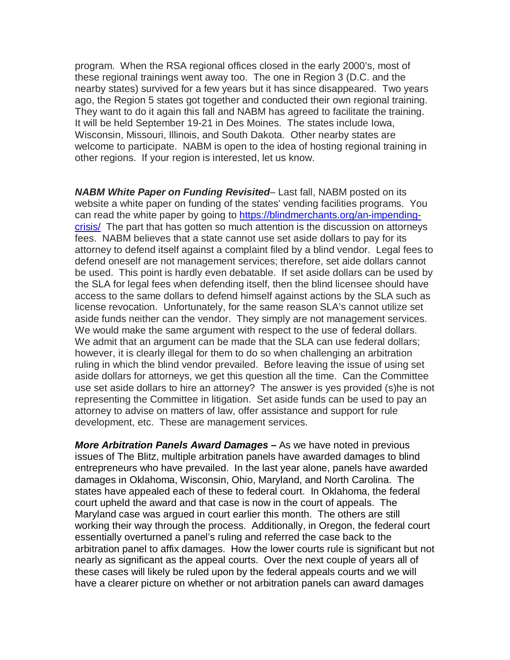program. When the RSA regional offices closed in the early 2000's, most of these regional trainings went away too. The one in Region 3 (D.C. and the nearby states) survived for a few years but it has since disappeared. Two years ago, the Region 5 states got together and conducted their own regional training. They want to do it again this fall and NABM has agreed to facilitate the training. It will be held September 19-21 in Des Moines. The states include Iowa, Wisconsin, Missouri, Illinois, and South Dakota. Other nearby states are welcome to participate. NABM is open to the idea of hosting regional training in other regions. If your region is interested, let us know.

*NABM White Paper on Funding Revisited*– Last fall, NABM posted on its website a white paper on funding of the states' vending facilities programs. You can read the white paper by going to [https://blindmerchants.org/an-impending](https://blindmerchants.org/an-impending-crisis/)[crisis/](https://blindmerchants.org/an-impending-crisis/) The part that has gotten so much attention is the discussion on attorneys fees. NABM believes that a state cannot use set aside dollars to pay for its attorney to defend itself against a complaint filed by a blind vendor. Legal fees to defend oneself are not management services; therefore, set aide dollars cannot be used. This point is hardly even debatable. If set aside dollars can be used by the SLA for legal fees when defending itself, then the blind licensee should have access to the same dollars to defend himself against actions by the SLA such as license revocation. Unfortunately, for the same reason SLA's cannot utilize set aside funds neither can the vendor. They simply are not management services. We would make the same argument with respect to the use of federal dollars. We admit that an argument can be made that the SLA can use federal dollars; however, it is clearly illegal for them to do so when challenging an arbitration ruling in which the blind vendor prevailed. Before leaving the issue of using set aside dollars for attorneys, we get this question all the time. Can the Committee use set aside dollars to hire an attorney? The answer is yes provided (s)he is not representing the Committee in litigation. Set aside funds can be used to pay an attorney to advise on matters of law, offer assistance and support for rule development, etc. These are management services.

*More Arbitration Panels Award Damages –* As we have noted in previous issues of The Blitz, multiple arbitration panels have awarded damages to blind entrepreneurs who have prevailed. In the last year alone, panels have awarded damages in Oklahoma, Wisconsin, Ohio, Maryland, and North Carolina. The states have appealed each of these to federal court. In Oklahoma, the federal court upheld the award and that case is now in the court of appeals. The Maryland case was argued in court earlier this month. The others are still working their way through the process. Additionally, in Oregon, the federal court essentially overturned a panel's ruling and referred the case back to the arbitration panel to affix damages. How the lower courts rule is significant but not nearly as significant as the appeal courts. Over the next couple of years all of these cases will likely be ruled upon by the federal appeals courts and we will have a clearer picture on whether or not arbitration panels can award damages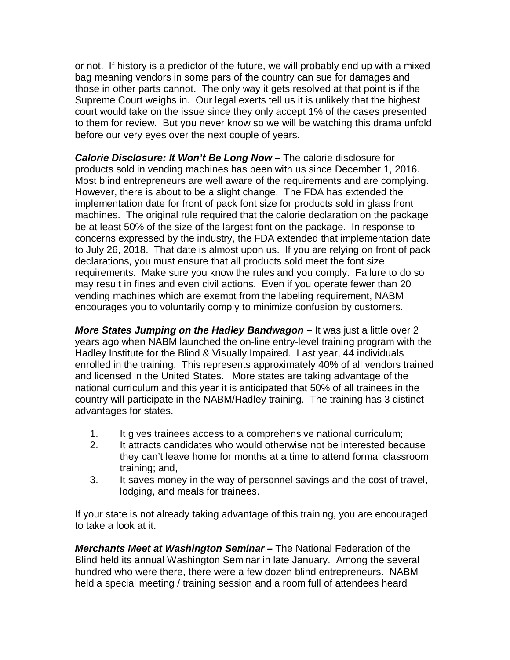or not. If history is a predictor of the future, we will probably end up with a mixed bag meaning vendors in some pars of the country can sue for damages and those in other parts cannot. The only way it gets resolved at that point is if the Supreme Court weighs in. Our legal exerts tell us it is unlikely that the highest court would take on the issue since they only accept 1% of the cases presented to them for review. But you never know so we will be watching this drama unfold before our very eyes over the next couple of years.

*Calorie Disclosure: It Won't Be Long Now –* The calorie disclosure for products sold in vending machines has been with us since December 1, 2016. Most blind entrepreneurs are well aware of the requirements and are complying. However, there is about to be a slight change. The FDA has extended the implementation date for front of pack font size for products sold in glass front machines. The original rule required that the calorie declaration on the package be at least 50% of the size of the largest font on the package. In response to concerns expressed by the industry, the FDA extended that implementation date to July 26, 2018. That date is almost upon us. If you are relying on front of pack declarations, you must ensure that all products sold meet the font size requirements. Make sure you know the rules and you comply. Failure to do so may result in fines and even civil actions. Even if you operate fewer than 20 vending machines which are exempt from the labeling requirement, NABM encourages you to voluntarily comply to minimize confusion by customers.

*More States Jumping on the Hadley Bandwagon –* It was just a little over 2 years ago when NABM launched the on-line entry-level training program with the Hadley Institute for the Blind & Visually Impaired. Last year, 44 individuals enrolled in the training. This represents approximately 40% of all vendors trained and licensed in the United States. More states are taking advantage of the national curriculum and this year it is anticipated that 50% of all trainees in the country will participate in the NABM/Hadley training. The training has 3 distinct advantages for states.

- 1. It gives trainees access to a comprehensive national curriculum;
- 2. It attracts candidates who would otherwise not be interested because they can't leave home for months at a time to attend formal classroom training; and,
- 3. It saves money in the way of personnel savings and the cost of travel, lodging, and meals for trainees.

If your state is not already taking advantage of this training, you are encouraged to take a look at it.

*Merchants Meet at Washington Seminar –* The National Federation of the Blind held its annual Washington Seminar in late January. Among the several hundred who were there, there were a few dozen blind entrepreneurs. NABM held a special meeting / training session and a room full of attendees heard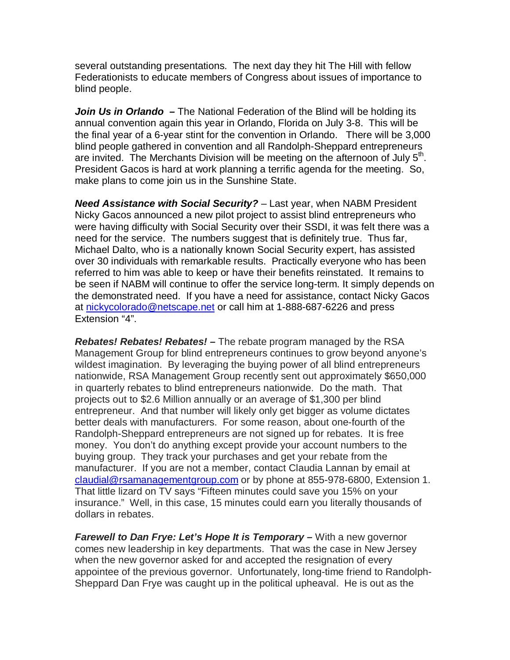several outstanding presentations. The next day they hit The Hill with fellow Federationists to educate members of Congress about issues of importance to blind people.

*Join Us in Orlando –* The National Federation of the Blind will be holding its annual convention again this year in Orlando, Florida on July 3-8. This will be the final year of a 6-year stint for the convention in Orlando. There will be 3,000 blind people gathered in convention and all Randolph-Sheppard entrepreneurs are invited. The Merchants Division will be meeting on the afternoon of July  $5<sup>th</sup>$ . President Gacos is hard at work planning a terrific agenda for the meeting. So, make plans to come join us in the Sunshine State.

*Need Assistance with Social Security?* – Last year, when NABM President Nicky Gacos announced a new pilot project to assist blind entrepreneurs who were having difficulty with Social Security over their SSDI, it was felt there was a need for the service. The numbers suggest that is definitely true. Thus far, Michael Dalto, who is a nationally known Social Security expert, has assisted over 30 individuals with remarkable results. Practically everyone who has been referred to him was able to keep or have their benefits reinstated. It remains to be seen if NABM will continue to offer the service long-term. It simply depends on the demonstrated need. If you have a need for assistance, contact Nicky Gacos at [nickycolorado@netscape.net](mailto:nickycolorado@netscape.net) or call him at 1-888-687-6226 and press Extension "4".

*Rebates! Rebates! Rebates! –* The rebate program managed by the RSA Management Group for blind entrepreneurs continues to grow beyond anyone's wildest imagination. By leveraging the buying power of all blind entrepreneurs nationwide, RSA Management Group recently sent out approximately \$650,000 in quarterly rebates to blind entrepreneurs nationwide. Do the math. That projects out to \$2.6 Million annually or an average of \$1,300 per blind entrepreneur. And that number will likely only get bigger as volume dictates better deals with manufacturers. For some reason, about one-fourth of the Randolph-Sheppard entrepreneurs are not signed up for rebates. It is free money. You don't do anything except provide your account numbers to the buying group. They track your purchases and get your rebate from the manufacturer. If you are not a member, contact Claudia Lannan by email at [claudial@rsamanagementgroup.com](mailto:claudial@rsamanagementgroup.com) or by phone at 855-978-6800, Extension 1. That little lizard on TV says "Fifteen minutes could save you 15% on your insurance." Well, in this case, 15 minutes could earn you literally thousands of dollars in rebates.

*Farewell to Dan Frye: Let's Hope It is Temporary –* With a new governor comes new leadership in key departments. That was the case in New Jersey when the new governor asked for and accepted the resignation of every appointee of the previous governor. Unfortunately, long-time friend to Randolph-Sheppard Dan Frye was caught up in the political upheaval. He is out as the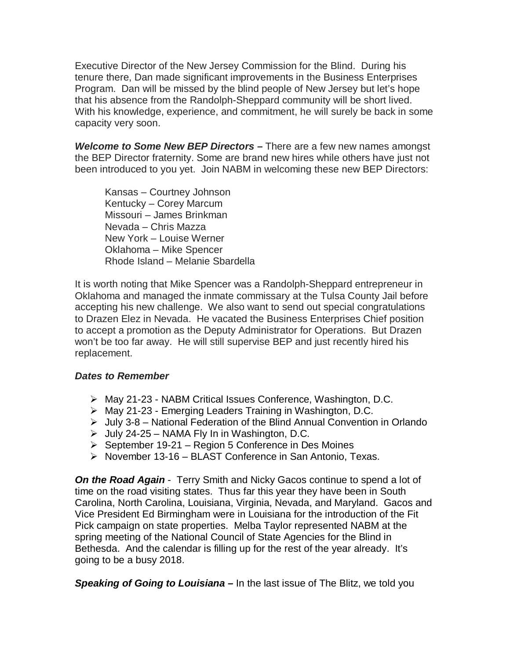Executive Director of the New Jersey Commission for the Blind. During his tenure there, Dan made significant improvements in the Business Enterprises Program. Dan will be missed by the blind people of New Jersey but let's hope that his absence from the Randolph-Sheppard community will be short lived. With his knowledge, experience, and commitment, he will surely be back in some capacity very soon.

*Welcome to Some New BEP Directors –* There are a few new names amongst the BEP Director fraternity. Some are brand new hires while others have just not been introduced to you yet. Join NABM in welcoming these new BEP Directors:

Kansas – Courtney Johnson Kentucky – Corey Marcum Missouri – James Brinkman Nevada – Chris Mazza New York – Louise Werner Oklahoma – Mike Spencer Rhode Island – Melanie Sbardella

It is worth noting that Mike Spencer was a Randolph-Sheppard entrepreneur in Oklahoma and managed the inmate commissary at the Tulsa County Jail before accepting his new challenge. We also want to send out special congratulations to Drazen Elez in Nevada. He vacated the Business Enterprises Chief position to accept a promotion as the Deputy Administrator for Operations. But Drazen won't be too far away. He will still supervise BEP and just recently hired his replacement.

#### *Dates to Remember*

- May 21-23 NABM Critical Issues Conference, Washington, D.C.
- May 21-23 Emerging Leaders Training in Washington, D.C.
- $\triangleright$  July 3-8 National Federation of the Blind Annual Convention in Orlando
- $\triangleright$  July 24-25 NAMA Fly In in Washington, D.C.
- $\triangleright$  September 19-21 Region 5 Conference in Des Moines
- $\triangleright$  November 13-16 BLAST Conference in San Antonio, Texas.

*On the Road Again* - Terry Smith and Nicky Gacos continue to spend a lot of time on the road visiting states. Thus far this year they have been in South Carolina, North Carolina, Louisiana, Virginia, Nevada, and Maryland. Gacos and Vice President Ed Birmingham were in Louisiana for the introduction of the Fit Pick campaign on state properties. Melba Taylor represented NABM at the spring meeting of the National Council of State Agencies for the Blind in Bethesda. And the calendar is filling up for the rest of the year already. It's going to be a busy 2018.

*Speaking of Going to Louisiana –* In the last issue of The Blitz, we told you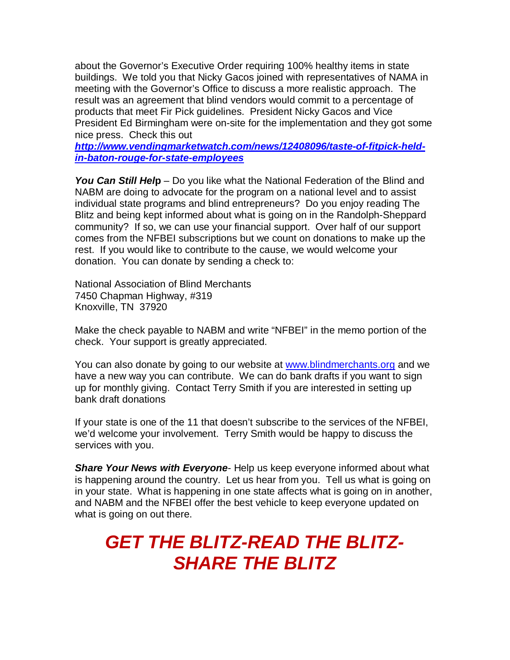about the Governor's Executive Order requiring 100% healthy items in state buildings. We told you that Nicky Gacos joined with representatives of NAMA in meeting with the Governor's Office to discuss a more realistic approach. The result was an agreement that blind vendors would commit to a percentage of products that meet Fir Pick guidelines. President Nicky Gacos and Vice President Ed Birmingham were on-site for the implementation and they got some nice press. Check this out

*[http://www.vendingmarketwatch.com/news/12408096/taste-of-fitpick-held](http://www.vendingmarketwatch.com/news/12408096/taste-of-fitpick-held-in-baton-rouge-for-state-employees)[in-baton-rouge-for-state-employees](http://www.vendingmarketwatch.com/news/12408096/taste-of-fitpick-held-in-baton-rouge-for-state-employees)*

*You Can Still Hel***p** – Do you like what the National Federation of the Blind and NABM are doing to advocate for the program on a national level and to assist individual state programs and blind entrepreneurs? Do you enjoy reading The Blitz and being kept informed about what is going on in the Randolph-Sheppard community? If so, we can use your financial support. Over half of our support comes from the NFBEI subscriptions but we count on donations to make up the rest. If you would like to contribute to the cause, we would welcome your donation. You can donate by sending a check to:

National Association of Blind Merchants 7450 Chapman Highway, #319 Knoxville, TN 37920

Make the check payable to NABM and write "NFBEI" in the memo portion of the check. Your support is greatly appreciated.

You can also donate by going to our website at [www.blindmerchants.org](http://www.blindmerchants.org/) and we have a new way you can contribute. We can do bank drafts if you want to sign up for monthly giving. Contact Terry Smith if you are interested in setting up bank draft donations

If your state is one of the 11 that doesn't subscribe to the services of the NFBEI, we'd welcome your involvement. Terry Smith would be happy to discuss the services with you.

*Share Your News with Everyone*- Help us keep everyone informed about what is happening around the country. Let us hear from you. Tell us what is going on in your state. What is happening in one state affects what is going on in another, and NABM and the NFBEI offer the best vehicle to keep everyone updated on what is going on out there.

# *GET THE BLITZ-READ THE BLITZ-SHARE THE BLITZ*